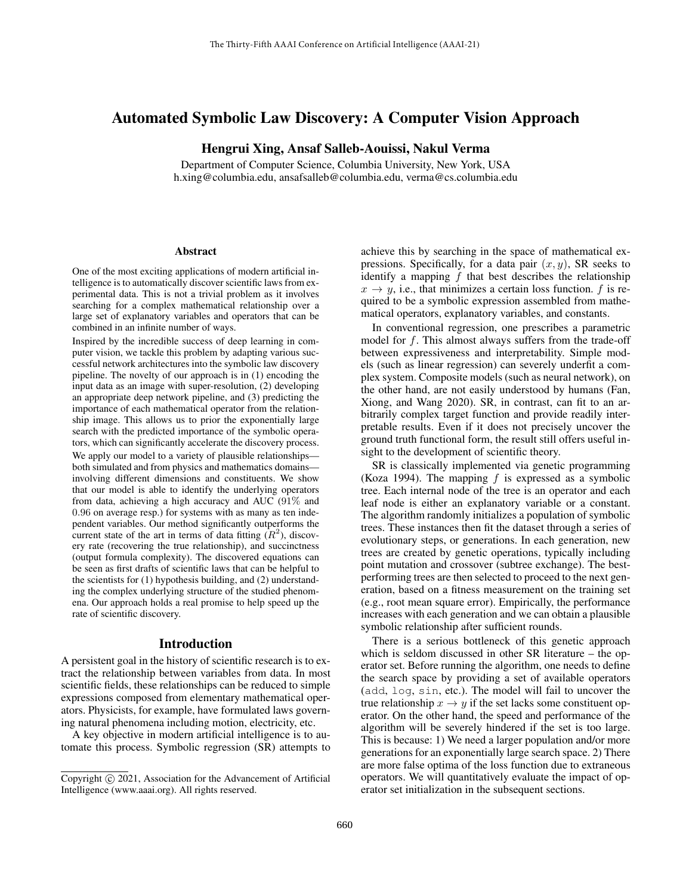# Automated Symbolic Law Discovery: A Computer Vision Approach

# Hengrui Xing, Ansaf Salleb-Aouissi, Nakul Verma

Department of Computer Science, Columbia University, New York, USA h.xing@columbia.edu, ansafsalleb@columbia.edu, verma@cs.columbia.edu

#### **Abstract**

One of the most exciting applications of modern artificial intelligence is to automatically discover scientific laws from experimental data. This is not a trivial problem as it involves searching for a complex mathematical relationship over a large set of explanatory variables and operators that can be combined in an infinite number of ways.

Inspired by the incredible success of deep learning in computer vision, we tackle this problem by adapting various successful network architectures into the symbolic law discovery pipeline. The novelty of our approach is in (1) encoding the input data as an image with super-resolution, (2) developing an appropriate deep network pipeline, and (3) predicting the importance of each mathematical operator from the relationship image. This allows us to prior the exponentially large search with the predicted importance of the symbolic operators, which can significantly accelerate the discovery process. We apply our model to a variety of plausible relationships—

both simulated and from physics and mathematics domains involving different dimensions and constituents. We show that our model is able to identify the underlying operators from data, achieving a high accuracy and AUC (91% and 0.96 on average resp.) for systems with as many as ten independent variables. Our method significantly outperforms the current state of the art in terms of data fitting  $(R^2)$ , discovery rate (recovering the true relationship), and succinctness (output formula complexity). The discovered equations can be seen as first drafts of scientific laws that can be helpful to the scientists for (1) hypothesis building, and (2) understanding the complex underlying structure of the studied phenomena. Our approach holds a real promise to help speed up the rate of scientific discovery.

#### Introduction

A persistent goal in the history of scientific research is to extract the relationship between variables from data. In most scientific fields, these relationships can be reduced to simple expressions composed from elementary mathematical operators. Physicists, for example, have formulated laws governing natural phenomena including motion, electricity, etc.

A key objective in modern artificial intelligence is to automate this process. Symbolic regression (SR) attempts to

achieve this by searching in the space of mathematical expressions. Specifically, for a data pair  $(x, y)$ , SR seeks to identify a mapping  $f$  that best describes the relationship  $x \rightarrow y$ , i.e., that minimizes a certain loss function. f is required to be a symbolic expression assembled from mathematical operators, explanatory variables, and constants.

In conventional regression, one prescribes a parametric model for  $f$ . This almost always suffers from the trade-off between expressiveness and interpretability. Simple models (such as linear regression) can severely underfit a complex system. Composite models (such as neural network), on the other hand, are not easily understood by humans (Fan, Xiong, and Wang 2020). SR, in contrast, can fit to an arbitrarily complex target function and provide readily interpretable results. Even if it does not precisely uncover the ground truth functional form, the result still offers useful insight to the development of scientific theory.

SR is classically implemented via genetic programming (Koza 1994). The mapping  $f$  is expressed as a symbolic tree. Each internal node of the tree is an operator and each leaf node is either an explanatory variable or a constant. The algorithm randomly initializes a population of symbolic trees. These instances then fit the dataset through a series of evolutionary steps, or generations. In each generation, new trees are created by genetic operations, typically including point mutation and crossover (subtree exchange). The bestperforming trees are then selected to proceed to the next generation, based on a fitness measurement on the training set (e.g., root mean square error). Empirically, the performance increases with each generation and we can obtain a plausible symbolic relationship after sufficient rounds.

There is a serious bottleneck of this genetic approach which is seldom discussed in other SR literature – the operator set. Before running the algorithm, one needs to define the search space by providing a set of available operators (add, log, sin, etc.). The model will fail to uncover the true relationship  $x \to y$  if the set lacks some constituent operator. On the other hand, the speed and performance of the algorithm will be severely hindered if the set is too large. This is because: 1) We need a larger population and/or more generations for an exponentially large search space. 2) There are more false optima of the loss function due to extraneous operators. We will quantitatively evaluate the impact of operator set initialization in the subsequent sections.

Copyright © 2021, Association for the Advancement of Artificial Intelligence (www.aaai.org). All rights reserved.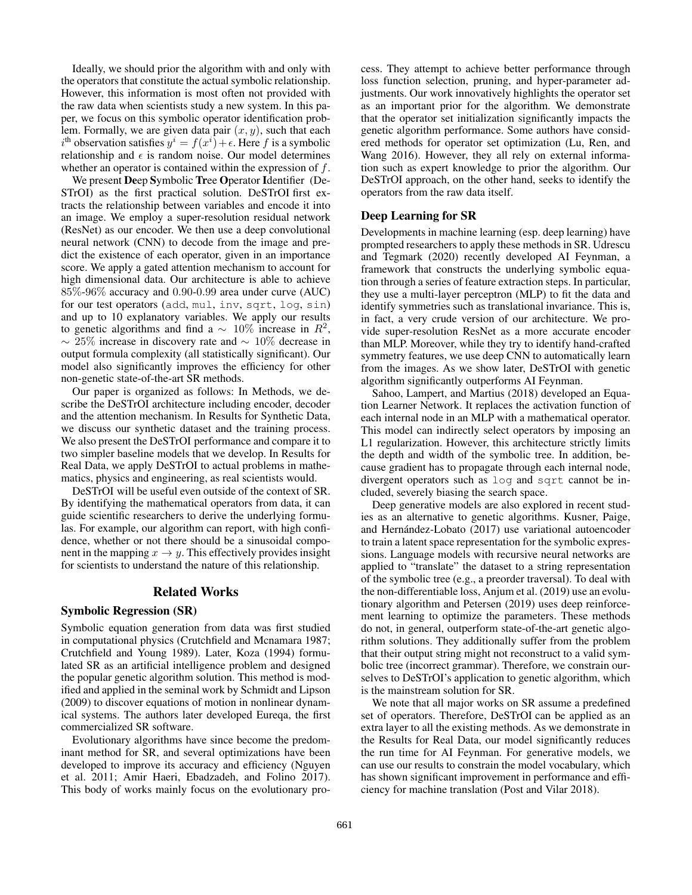Ideally, we should prior the algorithm with and only with the operators that constitute the actual symbolic relationship. However, this information is most often not provided with the raw data when scientists study a new system. In this paper, we focus on this symbolic operator identification problem. Formally, we are given data pair  $(x, y)$ , such that each  $i<sup>th</sup>$  observation satisfies  $y<sup>i</sup> = f(x<sup>i</sup>) + \epsilon$ . Here f is a symbolic relationship and  $\epsilon$  is random noise. Our model determines whether an operator is contained within the expression of  $f$ .

We present Deep Symbolic Tree Operator Identifier (De-STrOI) as the first practical solution. DeSTrOI first extracts the relationship between variables and encode it into an image. We employ a super-resolution residual network (ResNet) as our encoder. We then use a deep convolutional neural network (CNN) to decode from the image and predict the existence of each operator, given in an importance score. We apply a gated attention mechanism to account for high dimensional data. Our architecture is able to achieve 85%-96% accuracy and 0.90-0.99 area under curve (AUC) for our test operators (add, mul, inv, sqrt, log, sin) and up to 10 explanatory variables. We apply our results to genetic algorithms and find a  $\sim 10\%$  increase in  $R^2$ , ∼ 25% increase in discovery rate and ∼ 10% decrease in output formula complexity (all statistically significant). Our model also significantly improves the efficiency for other non-genetic state-of-the-art SR methods.

Our paper is organized as follows: In Methods, we describe the DeSTrOI architecture including encoder, decoder and the attention mechanism. In Results for Synthetic Data, we discuss our synthetic dataset and the training process. We also present the DeSTrOI performance and compare it to two simpler baseline models that we develop. In Results for Real Data, we apply DeSTrOI to actual problems in mathematics, physics and engineering, as real scientists would.

DeSTrOI will be useful even outside of the context of SR. By identifying the mathematical operators from data, it can guide scientific researchers to derive the underlying formulas. For example, our algorithm can report, with high confidence, whether or not there should be a sinusoidal component in the mapping  $x \to y$ . This effectively provides insight for scientists to understand the nature of this relationship.

### Related Works

# Symbolic Regression (SR)

Symbolic equation generation from data was first studied in computational physics (Crutchfield and Mcnamara 1987; Crutchfield and Young 1989). Later, Koza (1994) formulated SR as an artificial intelligence problem and designed the popular genetic algorithm solution. This method is modified and applied in the seminal work by Schmidt and Lipson (2009) to discover equations of motion in nonlinear dynamical systems. The authors later developed Eureqa, the first commercialized SR software.

Evolutionary algorithms have since become the predominant method for SR, and several optimizations have been developed to improve its accuracy and efficiency (Nguyen et al. 2011; Amir Haeri, Ebadzadeh, and Folino 2017). This body of works mainly focus on the evolutionary process. They attempt to achieve better performance through loss function selection, pruning, and hyper-parameter adjustments. Our work innovatively highlights the operator set as an important prior for the algorithm. We demonstrate that the operator set initialization significantly impacts the genetic algorithm performance. Some authors have considered methods for operator set optimization (Lu, Ren, and Wang 2016). However, they all rely on external information such as expert knowledge to prior the algorithm. Our DeSTrOI approach, on the other hand, seeks to identify the operators from the raw data itself.

#### Deep Learning for SR

Developments in machine learning (esp. deep learning) have prompted researchers to apply these methods in SR. Udrescu and Tegmark (2020) recently developed AI Feynman, a framework that constructs the underlying symbolic equation through a series of feature extraction steps. In particular, they use a multi-layer perceptron (MLP) to fit the data and identify symmetries such as translational invariance. This is, in fact, a very crude version of our architecture. We provide super-resolution ResNet as a more accurate encoder than MLP. Moreover, while they try to identify hand-crafted symmetry features, we use deep CNN to automatically learn from the images. As we show later, DeSTrOI with genetic algorithm significantly outperforms AI Feynman.

Sahoo, Lampert, and Martius (2018) developed an Equation Learner Network. It replaces the activation function of each internal node in an MLP with a mathematical operator. This model can indirectly select operators by imposing an L1 regularization. However, this architecture strictly limits the depth and width of the symbolic tree. In addition, because gradient has to propagate through each internal node, divergent operators such as log and sqrt cannot be included, severely biasing the search space.

Deep generative models are also explored in recent studies as an alternative to genetic algorithms. Kusner, Paige, and Hernández-Lobato (2017) use variational autoencoder to train a latent space representation for the symbolic expressions. Language models with recursive neural networks are applied to "translate" the dataset to a string representation of the symbolic tree (e.g., a preorder traversal). To deal with the non-differentiable loss, Anjum et al. (2019) use an evolutionary algorithm and Petersen (2019) uses deep reinforcement learning to optimize the parameters. These methods do not, in general, outperform state-of-the-art genetic algorithm solutions. They additionally suffer from the problem that their output string might not reconstruct to a valid symbolic tree (incorrect grammar). Therefore, we constrain ourselves to DeSTrOI's application to genetic algorithm, which is the mainstream solution for SR.

We note that all major works on SR assume a predefined set of operators. Therefore, DeSTrOI can be applied as an extra layer to all the existing methods. As we demonstrate in the Results for Real Data, our model significantly reduces the run time for AI Feynman. For generative models, we can use our results to constrain the model vocabulary, which has shown significant improvement in performance and efficiency for machine translation (Post and Vilar 2018).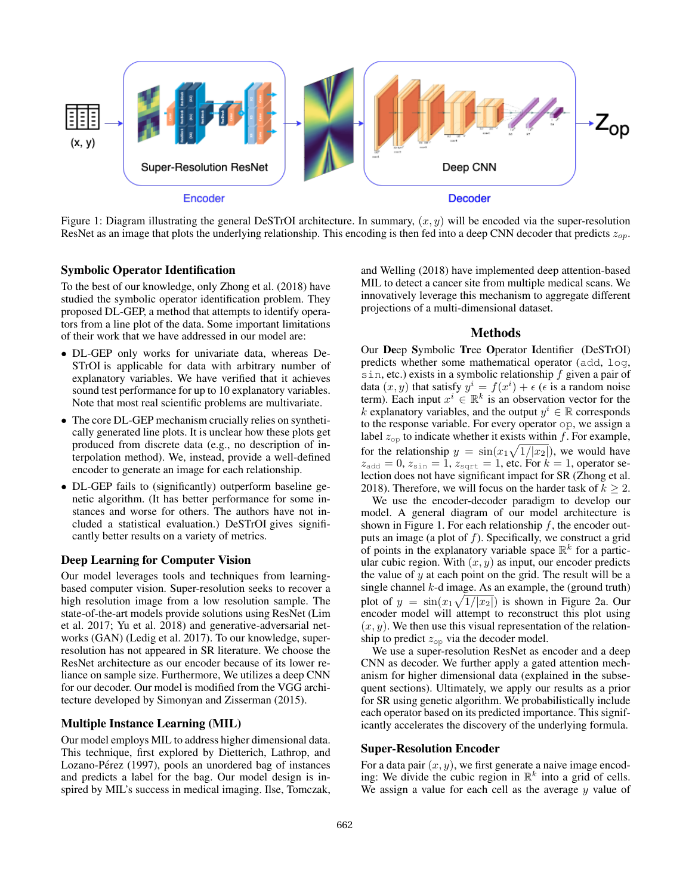

Figure 1: Diagram illustrating the general DeSTrOI architecture. In summary,  $(x, y)$  will be encoded via the super-resolution ResNet as an image that plots the underlying relationship. This encoding is then fed into a deep CNN decoder that predicts  $z_{op}$ .

#### Symbolic Operator Identification

To the best of our knowledge, only Zhong et al. (2018) have studied the symbolic operator identification problem. They proposed DL-GEP, a method that attempts to identify operators from a line plot of the data. Some important limitations of their work that we have addressed in our model are:

- DL-GEP only works for univariate data, whereas De-STrOI is applicable for data with arbitrary number of explanatory variables. We have verified that it achieves sound test performance for up to 10 explanatory variables. Note that most real scientific problems are multivariate.
- The core DL-GEP mechanism crucially relies on synthetically generated line plots. It is unclear how these plots get produced from discrete data (e.g., no description of interpolation method). We, instead, provide a well-defined encoder to generate an image for each relationship.
- DL-GEP fails to (significantly) outperform baseline genetic algorithm. (It has better performance for some instances and worse for others. The authors have not included a statistical evaluation.) DeSTrOI gives significantly better results on a variety of metrics.

## Deep Learning for Computer Vision

Our model leverages tools and techniques from learningbased computer vision. Super-resolution seeks to recover a high resolution image from a low resolution sample. The state-of-the-art models provide solutions using ResNet (Lim et al. 2017; Yu et al. 2018) and generative-adversarial networks (GAN) (Ledig et al. 2017). To our knowledge, superresolution has not appeared in SR literature. We choose the ResNet architecture as our encoder because of its lower reliance on sample size. Furthermore, We utilizes a deep CNN for our decoder. Our model is modified from the VGG architecture developed by Simonyan and Zisserman (2015).

#### Multiple Instance Learning (MIL)

Our model employs MIL to address higher dimensional data. This technique, first explored by Dietterich, Lathrop, and Lozano-Pérez (1997), pools an unordered bag of instances and predicts a label for the bag. Our model design is inspired by MIL's success in medical imaging. Ilse, Tomczak,

and Welling (2018) have implemented deep attention-based MIL to detect a cancer site from multiple medical scans. We innovatively leverage this mechanism to aggregate different projections of a multi-dimensional dataset.

#### Methods

Our Deep Symbolic Tree Operator Identifier (DeSTrOI) predicts whether some mathematical operator (add, log, sin, etc.) exists in a symbolic relationship  $f$  given a pair of data  $(x, y)$  that satisfy  $y^i = f(x^i) + \epsilon$  ( $\epsilon$  is a random noise term). Each input  $x^i \in \mathbb{R}^k$  is an observation vector for the k explanatory variables, and the output  $y^i \in \mathbb{R}$  corresponds to the response variable. For every operator op, we assign a label  $z_{op}$  to indicate whether it exists within f. For example, for the relationship  $y = \sin(x_1\sqrt{1/|x_2|})$ , we would have  $z_{\text{add}} = 0$ ,  $z_{\text{sin}} = 1$ ,  $z_{\text{sqrt}} = 1$ , etc. For  $k = 1$ , operator selection does not have significant impact for SR (Zhong et al. 2018). Therefore, we will focus on the harder task of  $k \geq 2$ .

We use the encoder-decoder paradigm to develop our model. A general diagram of our model architecture is shown in Figure 1. For each relationship  $f$ , the encoder outputs an image (a plot of  $f$ ). Specifically, we construct a grid of points in the explanatory variable space  $\mathbb{R}^k$  for a particular cubic region. With  $(x, y)$  as input, our encoder predicts the value of y at each point on the grid. The result will be a single channel  $k$ -d image. As an example, the (ground truth) plot of  $y = \sin(x_1\sqrt{1/|x_2|})$  is shown in Figure 2a. Our encoder model will attempt to reconstruct this plot using  $(x, y)$ . We then use this visual representation of the relationship to predict  $z_{op}$  via the decoder model.

We use a super-resolution ResNet as encoder and a deep CNN as decoder. We further apply a gated attention mechanism for higher dimensional data (explained in the subsequent sections). Ultimately, we apply our results as a prior for SR using genetic algorithm. We probabilistically include each operator based on its predicted importance. This significantly accelerates the discovery of the underlying formula.

#### Super-Resolution Encoder

For a data pair  $(x, y)$ , we first generate a naive image encoding: We divide the cubic region in  $\mathbb{R}^k$  into a grid of cells. We assign a value for each cell as the average  $y$  value of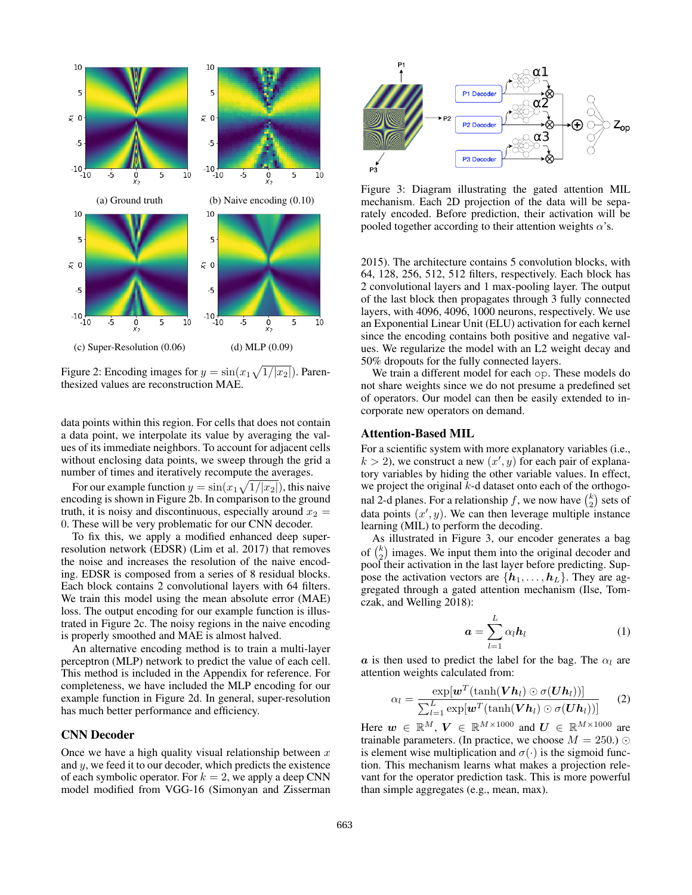

Figure 2: Encoding images for  $y = sin(x_1\sqrt{1/|x_2|})$ . Parenthesized values are reconstruction MAE.

data points within this region. For cells that does not contain a data point, we interpolate its value by averaging the values of its immediate neighbors. To account for adjacent cells without enclosing data points, we sweep through the grid a number of times and iteratively recompute the averages.

For our example function  $y = \sin(x_1\sqrt{1/|x_2|})$ , this naive encoding is shown in Figure 2b. In comparison to the ground truth, it is noisy and discontinuous, especially around  $x_2 =$ 0. These will be very problematic for our CNN decoder.

To fix this, we apply a modified enhanced deep superresolution network (EDSR) (Lim et al. 2017) that removes the noise and increases the resolution of the naive encoding. EDSR is composed from a series of 8 residual blocks. Each block contains 2 convolutional layers with 64 filters. We train this model using the mean absolute error (MAE) loss. The output encoding for our example function is illustrated in Figure 2c. The noisy regions in the naive encoding is properly smoothed and MAE is almost halved.

An alternative encoding method is to train a multi-layer perceptron (MLP) network to predict the value of each cell. This method is included in the Appendix for reference. For completeness, we have included the MLP encoding for our example function in Figure 2d. In general, super-resolution has much better performance and efficiency.

#### CNN Decoder

Once we have a high quality visual relationship between  $x$ and y, we feed it to our decoder, which predicts the existence of each symbolic operator. For  $k = 2$ , we apply a deep CNN model modified from VGG-16 (Simonyan and Zisserman



Figure 3: Diagram illustrating the gated attention MIL mechanism. Each 2D projection of the data will be separately encoded. Before prediction, their activation will be pooled together according to their attention weights  $\alpha$ 's.

2015). The architecture contains 5 convolution blocks, with 64, 128, 256, 512, 512 filters, respectively. Each block has 2 convolutional layers and 1 max-pooling layer. The output of the last block then propagates through 3 fully connected layers, with 4096, 4096, 1000 neurons, respectively. We use an Exponential Linear Unit (ELU) activation for each kernel since the encoding contains both positive and negative values. We regularize the model with an L2 weight decay and 50% dropouts for the fully connected layers.

We train a different model for each op. These models do not share weights since we do not presume a predefined set of operators. Our model can then be easily extended to incorporate new operators on demand.

### Attention-Based MIL

For a scientific system with more explanatory variables (i.e.,  $k > 2$ ), we construct a new  $(x', y)$  for each pair of explanatory variables by hiding the other variable values. In effect, we project the original  $k$ -d dataset onto each of the orthogonal 2-d planes. For a relationship  $f$ , we now have  $\binom{k}{2}$  sets of data points  $(x', y)$ . We can then leverage multiple instance learning (MIL) to perform the decoding.

As illustrated in Figure 3, our encoder generates a bag of  $\binom{k}{2}$  images. We input them into the original decoder and pool their activation in the last layer before predicting. Suppose the activation vectors are  $\{h_1, \ldots, h_L\}$ . They are aggregated through a gated attention mechanism (Ilse, Tomczak, and Welling 2018):

$$
\boldsymbol{a} = \sum_{l=1}^{L} \alpha_l \boldsymbol{h}_l \tag{1}
$$

a is then used to predict the label for the bag. The  $\alpha_l$  are attention weights calculated from:

$$
\alpha_l = \frac{\exp[\boldsymbol{w}^T(\tanh(\boldsymbol{V}\boldsymbol{h}_l) \odot \sigma(\boldsymbol{U}\boldsymbol{h}_l))]}{\sum_{l=1}^L \exp[\boldsymbol{w}^T(\tanh(\boldsymbol{V}\boldsymbol{h}_l) \odot \sigma(\boldsymbol{U}\boldsymbol{h}_l))]}
$$
(2)

Here  $w \in \mathbb{R}^M$ ,  $V \in \mathbb{R}^{M \times 1000}$  and  $U \in \mathbb{R}^{M \times 1000}$  are trainable parameters. (In practice, we choose  $M = 250$ .)  $\odot$ is element wise multiplication and  $\sigma(\cdot)$  is the sigmoid function. This mechanism learns what makes a projection relevant for the operator prediction task. This is more powerful than simple aggregates (e.g., mean, max).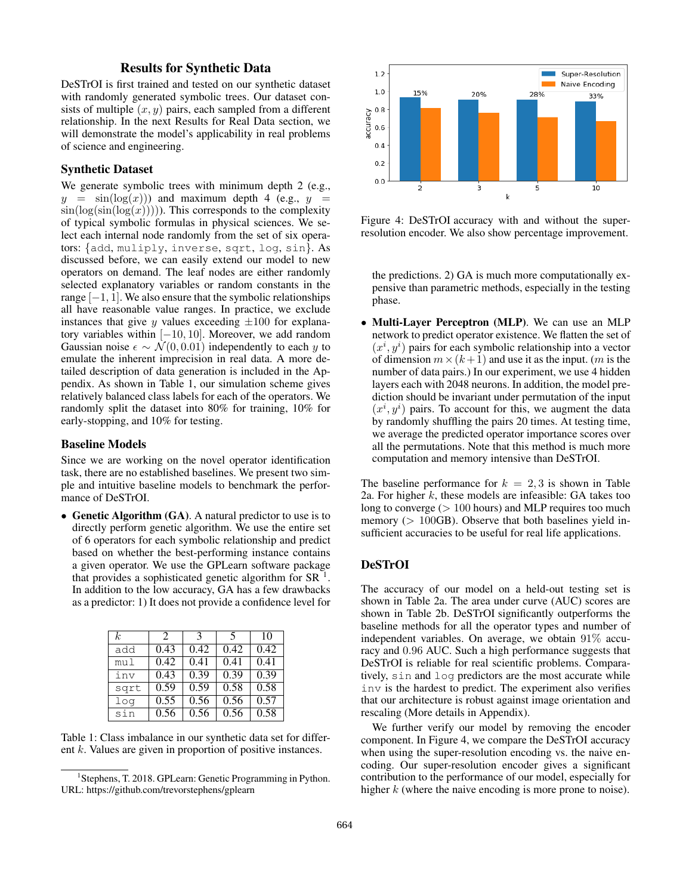# Results for Synthetic Data

DeSTrOI is first trained and tested on our synthetic dataset with randomly generated symbolic trees. Our dataset consists of multiple  $(x, y)$  pairs, each sampled from a different relationship. In the next Results for Real Data section, we will demonstrate the model's applicability in real problems of science and engineering.

### Synthetic Dataset

We generate symbolic trees with minimum depth 2 (e.g.,  $y = \sin(\log(x))$  and maximum depth 4 (e.g.,  $y =$  $sin(log(sin(log(x))))$ ). This corresponds to the complexity of typical symbolic formulas in physical sciences. We select each internal node randomly from the set of six operators: {add, muliply, inverse, sqrt, log, sin}. As discussed before, we can easily extend our model to new operators on demand. The leaf nodes are either randomly selected explanatory variables or random constants in the range  $[-1, 1]$ . We also ensure that the symbolic relationships all have reasonable value ranges. In practice, we exclude instances that give y values exceeding  $\pm 100$  for explanatory variables within [−10, 10]. Moreover, we add random Gaussian noise  $\epsilon \sim \mathcal{N}(0, 0.01)$  independently to each y to emulate the inherent imprecision in real data. A more detailed description of data generation is included in the Appendix. As shown in Table 1, our simulation scheme gives relatively balanced class labels for each of the operators. We randomly split the dataset into 80% for training, 10% for early-stopping, and 10% for testing.

#### Baseline Models

Since we are working on the novel operator identification task, there are no established baselines. We present two simple and intuitive baseline models to benchmark the performance of DeSTrOI.

• Genetic Algorithm (GA). A natural predictor to use is to directly perform genetic algorithm. We use the entire set of 6 operators for each symbolic relationship and predict based on whether the best-performing instance contains a given operator. We use the GPLearn software package that provides a sophisticated genetic algorithm for  $SR^{-1}$ . In addition to the low accuracy, GA has a few drawbacks as a predictor: 1) It does not provide a confidence level for

| k.   | $\mathcal{D}_{\mathcal{L}}$ | 3    | 5    | 10   |
|------|-----------------------------|------|------|------|
| add  | 0.43                        | 0.42 | 0.42 | 0.42 |
| mul  | 0.42                        | 0.41 | 0.41 | 0.41 |
| inv  | 0.43                        | 0.39 | 0.39 | 0.39 |
| sqrt | 0.59                        | 0.59 | 0.58 | 0.58 |
| log  | 0.55                        | 0.56 | 0.56 | 0.57 |
| sin  | 0.56                        | 0.56 | 0.56 | 0.58 |

Table 1: Class imbalance in our synthetic data set for different k. Values are given in proportion of positive instances.



Figure 4: DeSTrOI accuracy with and without the superresolution encoder. We also show percentage improvement.

the predictions. 2) GA is much more computationally expensive than parametric methods, especially in the testing phase.

• Multi-Layer Perceptron (MLP). We can use an MLP network to predict operator existence. We flatten the set of  $(x^{i}, y^{i})$  pairs for each symbolic relationship into a vector of dimension  $m \times (k+1)$  and use it as the input. (*m* is the number of data pairs.) In our experiment, we use 4 hidden layers each with 2048 neurons. In addition, the model prediction should be invariant under permutation of the input  $(x^{i}, y^{i})$  pairs. To account for this, we augment the data by randomly shuffling the pairs 20 times. At testing time, we average the predicted operator importance scores over all the permutations. Note that this method is much more computation and memory intensive than DeSTrOI.

The baseline performance for  $k = 2, 3$  is shown in Table 2a. For higher  $k$ , these models are infeasible: GA takes too long to converge  $(> 100$  hours) and MLP requires too much memory ( $> 100$ GB). Observe that both baselines yield insufficient accuracies to be useful for real life applications.

# DeSTrOI

The accuracy of our model on a held-out testing set is shown in Table 2a. The area under curve (AUC) scores are shown in Table 2b. DeSTrOI significantly outperforms the baseline methods for all the operator types and number of independent variables. On average, we obtain 91% accuracy and 0.96 AUC. Such a high performance suggests that DeSTrOI is reliable for real scientific problems. Comparatively, sin and log predictors are the most accurate while inv is the hardest to predict. The experiment also verifies that our architecture is robust against image orientation and rescaling (More details in Appendix).

We further verify our model by removing the encoder component. In Figure 4, we compare the DeSTrOI accuracy when using the super-resolution encoding vs. the naive encoding. Our super-resolution encoder gives a significant contribution to the performance of our model, especially for higher  $k$  (where the naive encoding is more prone to noise).

<sup>&</sup>lt;sup>1</sup> Stephens, T. 2018. GPLearn: Genetic Programming in Python. URL: https://github.com/trevorstephens/gplearn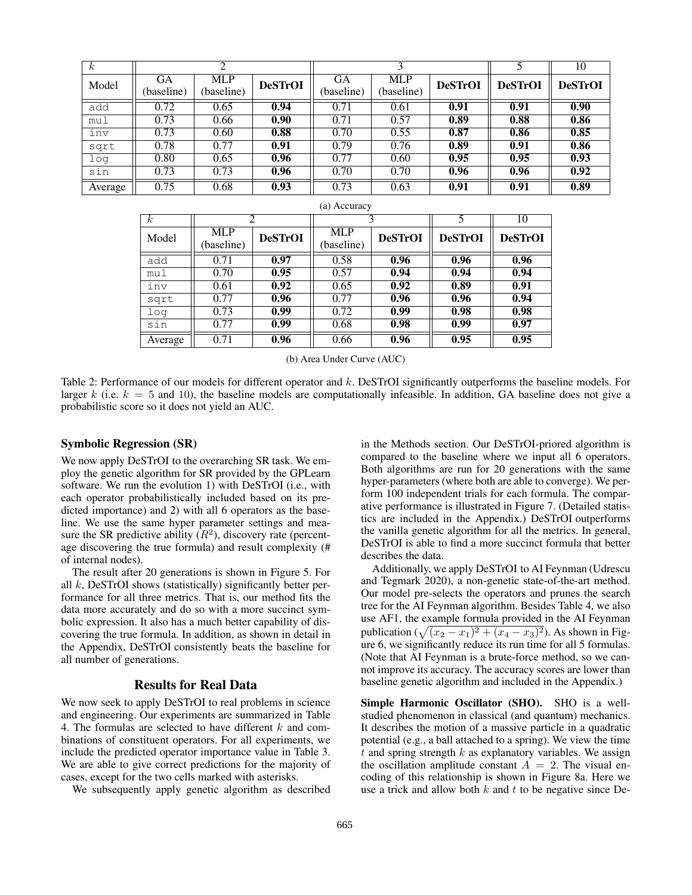| $\kappa$ |                         |                          |                |                         |                          |                |                | 10             |
|----------|-------------------------|--------------------------|----------------|-------------------------|--------------------------|----------------|----------------|----------------|
| Model    | <b>GA</b><br>(baseline) | <b>MLP</b><br>(baseline) | <b>DeSTrOI</b> | <b>GA</b><br>(baseline) | <b>MLP</b><br>(baseline) | <b>DeSTrOI</b> | <b>DeSTrOI</b> | <b>DeSTrOI</b> |
| add      | 0.72                    | 0.65                     | 0.94           | 0.71                    | 0.61                     | 0.91           | 0.91           | 0.90           |
| mul      | 0.73                    | 0.66                     | 0.90           | 0.71                    | 0.57                     | 0.89           | 0.88           | 0.86           |
| inv      | 0.73                    | 0.60                     | 0.88           | 0.70                    | 0.55                     | 0.87           | 0.86           | 0.85           |
| sqrt     | 0.78                    | 0.77                     | 0.91           | 0.79                    | 0.76                     | 0.89           | 0.91           | 0.86           |
| log      | 0.80                    | 0.65                     | 0.96           | 0.77                    | 0.60                     | 0.95           | 0.95           | 0.93           |
| sin      | 0.73                    | 0.73                     | 0.96           | 0.70                    | 0.70                     | 0.96           | 0.96           | 0.92           |
| Average  | 0.75                    | 0.68                     | 0.93           | 0.73                    | 0.63                     | 0.91           | 0.91           | 0.89           |

| (a) Accuracy     |            |                |            |                |                |                |  |
|------------------|------------|----------------|------------|----------------|----------------|----------------|--|
| $\boldsymbol{k}$ | 2          |                |            |                |                | 10             |  |
| Model            | <b>MLP</b> | <b>DeSTrOI</b> | <b>MLP</b> | <b>DeSTrOI</b> | <b>DeSTrOI</b> | <b>DeSTrOI</b> |  |
|                  | (baseline) |                | (baseline) |                |                |                |  |
| add              | 0.71       | 0.97           | 0.58       | 0.96           | 0.96           | 0.96           |  |
| mul              | 0.70       | 0.95           | 0.57       | 0.94           | 0.94           | 0.94           |  |
| inv              | 0.61       | 0.92           | 0.65       | 0.92           | 0.89           | 0.91           |  |
| sqrt             | 0.77       | 0.96           | 0.77       | 0.96           | 0.96           | 0.94           |  |
| log              | 0.73       | 0.99           | 0.72       | 0.99           | 0.98           | 0.98           |  |
| sin              | 0.77       | 0.99           | 0.68       | 0.98           | 0.99           | 0.97           |  |
| Average          | 0.71       | 0.96           | 0.66       | 0.96           | 0.95           | 0.95           |  |

(b) Area Under Curve (AUC)

Table 2: Performance of our models for different operator and k. DeSTrOI significantly outperforms the baseline models. For larger k (i.e.  $k = 5$  and 10), the baseline models are computationally infeasible. In addition, GA baseline does not give a probabilistic score so it does not yield an AUC.

#### Symbolic Regression (SR)

We now apply DeSTrOI to the overarching SR task. We employ the genetic algorithm for SR provided by the GPLearn software. We run the evolution 1) with DeSTrOI (i.e., with each operator probabilistically included based on its predicted importance) and 2) with all 6 operators as the baseline. We use the same hyper parameter settings and measure the SR predictive ability  $(R^2)$ , discovery rate (percentage discovering the true formula) and result complexity (# of internal nodes).

The result after 20 generations is shown in Figure 5. For all  $k$ , DeSTrOI shows (statistically) significantly better performance for all three metrics. That is, our method fits the data more accurately and do so with a more succinct symbolic expression. It also has a much better capability of discovering the true formula. In addition, as shown in detail in the Appendix, DeSTrOI consistently beats the baseline for all number of generations.

#### Results for Real Data

We now seek to apply DeSTrOI to real problems in science and engineering. Our experiments are summarized in Table 4. The formulas are selected to have different  $k$  and combinations of constituent operators. For all experiments, we include the predicted operator importance value in Table 3. We are able to give correct predictions for the majority of cases, except for the two cells marked with asterisks.

We subsequently apply genetic algorithm as described

in the Methods section. Our DeSTrOI-priored algorithm is compared to the baseline where we input all 6 operators. Both algorithms are run for 20 generations with the same hyper-parameters (where both are able to converge). We perform 100 independent trials for each formula. The comparative performance is illustrated in Figure 7. (Detailed statistics are included in the Appendix.) DeSTrOI outperforms the vanilla genetic algorithm for all the metrics. In general, DeSTrOI is able to find a more succinct formula that better describes the data.

Additionally, we apply DeSTrOI to AI Feynman (Udrescu and Tegmark 2020), a non-genetic state-of-the-art method. Our model pre-selects the operators and prunes the search tree for the AI Feynman algorithm. Besides Table 4, we also use AF1, the example formula provided in the AI Feynman publication ( $\sqrt{(x_2 - x_1)^2 + (x_4 - x_3)^2}$ ). As shown in Figure 6, we significantly reduce its run time for all 5 formulas. (Note that AI Feynman is a brute-force method, so we cannot improve its accuracy. The accuracy scores are lower than baseline genetic algorithm and included in the Appendix.)

Simple Harmonic Oscillator (SHO). SHO is a wellstudied phenomenon in classical (and quantum) mechanics. It describes the motion of a massive particle in a quadratic potential (e.g., a ball attached to a spring). We view the time  $t$  and spring strength  $k$  as explanatory variables. We assign the oscillation amplitude constant  $A = 2$ . The visual encoding of this relationship is shown in Figure 8a. Here we use a trick and allow both  $k$  and  $t$  to be negative since De-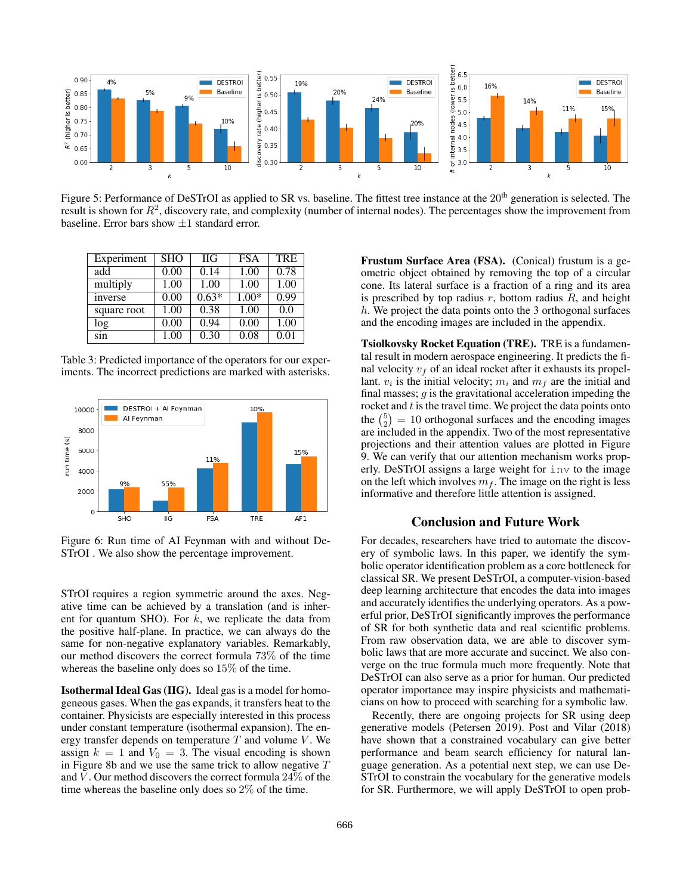

Figure 5: Performance of DeSTrOI as applied to SR vs. baseline. The fittest tree instance at the 20<sup>th</sup> generation is selected. The result is shown for  $R^2$ , discovery rate, and complexity (number of internal nodes). The percentages show the improvement from baseline. Error bars show  $\pm 1$  standard error.

| Experiment  | <b>SHO</b> | <b>HG</b> | <b>FSA</b> | <b>TRE</b> |
|-------------|------------|-----------|------------|------------|
| add         | 0.00       | 0.14      | 1.00       | 0.78       |
| multiply    | 1.00       | 1.00      | 1.00       | 1.00       |
| inverse     | 0.00       | $0.63*$   | $1.00*$    | 0.99       |
| square root | 1.00       | 0.38      | 1.00       | 0.0        |
| log         | 0.00       | 0.94      | 0.00       | 1.00       |
| sin         | 1.00       | 0.30      | 0.08       | 0.01       |

Table 3: Predicted importance of the operators for our experiments. The incorrect predictions are marked with asterisks.



Figure 6: Run time of AI Feynman with and without De-STrOI . We also show the percentage improvement.

STrOI requires a region symmetric around the axes. Negative time can be achieved by a translation (and is inherent for quantum SHO). For  $k$ , we replicate the data from the positive half-plane. In practice, we can always do the same for non-negative explanatory variables. Remarkably, our method discovers the correct formula 73% of the time whereas the baseline only does so 15% of the time.

Isothermal Ideal Gas (IIG). Ideal gas is a model for homogeneous gases. When the gas expands, it transfers heat to the container. Physicists are especially interested in this process under constant temperature (isothermal expansion). The energy transfer depends on temperature  $T$  and volume  $V$ . We assign  $k = 1$  and  $V_0 = 3$ . The visual encoding is shown in Figure 8b and we use the same trick to allow negative  $T$ and  $V$ . Our method discovers the correct formula  $24\%$  of the time whereas the baseline only does so 2% of the time.

Frustum Surface Area (FSA). (Conical) frustum is a geometric object obtained by removing the top of a circular cone. Its lateral surface is a fraction of a ring and its area is prescribed by top radius  $r$ , bottom radius  $R$ , and height  $h$ . We project the data points onto the 3 orthogonal surfaces and the encoding images are included in the appendix.

Tsiolkovsky Rocket Equation (TRE). TRE is a fundamental result in modern aerospace engineering. It predicts the final velocity  $v_f$  of an ideal rocket after it exhausts its propellant.  $v_i$  is the initial velocity;  $m_i$  and  $m_f$  are the initial and final masses;  $q$  is the gravitational acceleration impeding the rocket and  $t$  is the travel time. We project the data points onto the  $\binom{5}{2} = 10$  orthogonal surfaces and the encoding images are included in the appendix. Two of the most representative projections and their attention values are plotted in Figure 9. We can verify that our attention mechanism works properly. DeSTrOI assigns a large weight for inv to the image on the left which involves  $m_f$ . The image on the right is less informative and therefore little attention is assigned.

# Conclusion and Future Work

For decades, researchers have tried to automate the discovery of symbolic laws. In this paper, we identify the symbolic operator identification problem as a core bottleneck for classical SR. We present DeSTrOI, a computer-vision-based deep learning architecture that encodes the data into images and accurately identifies the underlying operators. As a powerful prior, DeSTrOI significantly improves the performance of SR for both synthetic data and real scientific problems. From raw observation data, we are able to discover symbolic laws that are more accurate and succinct. We also converge on the true formula much more frequently. Note that DeSTrOI can also serve as a prior for human. Our predicted operator importance may inspire physicists and mathematicians on how to proceed with searching for a symbolic law.

Recently, there are ongoing projects for SR using deep generative models (Petersen 2019). Post and Vilar (2018) have shown that a constrained vocabulary can give better performance and beam search efficiency for natural language generation. As a potential next step, we can use De-STrOI to constrain the vocabulary for the generative models for SR. Furthermore, we will apply DeSTrOI to open prob-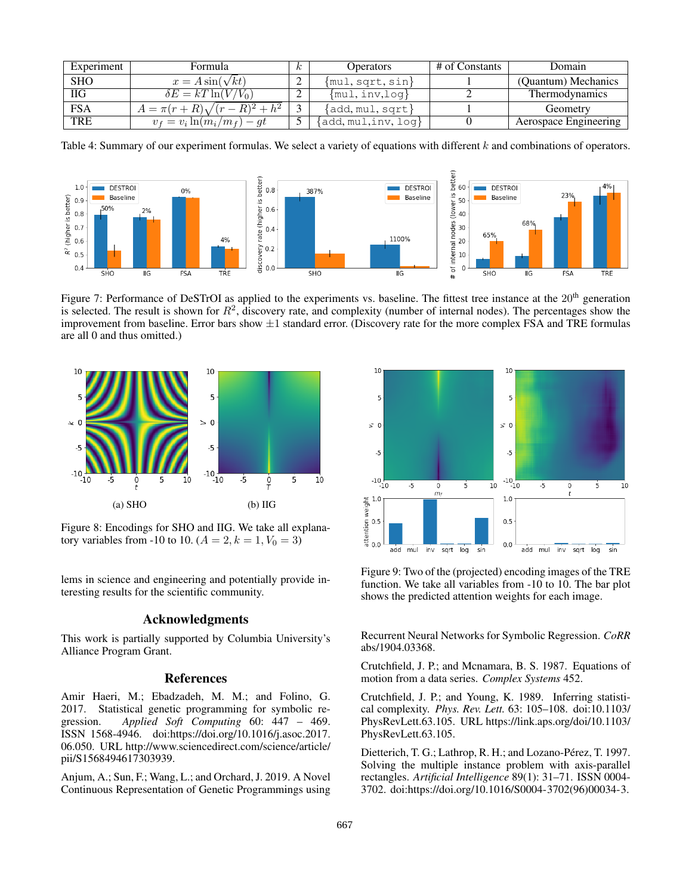| Experiment | Formula                            |  | Operators              | # of Constants | Domain                |
|------------|------------------------------------|--|------------------------|----------------|-----------------------|
| <b>SHO</b> | $x = A \sin(\sqrt{kt})$            |  | $\{mul, sqrt, sin\}$   |                | (Quantum) Mechanics   |
| ПG         | $\delta E = kT \ln(V/V_0)$         |  | $\{mul, inv, log\}$    |                | Thermodynamics        |
| <b>FSA</b> | $A = \pi(r+R)\sqrt{(r-R)^2 + h^2}$ |  | $\{add, mul, sqrt\}$   |                | Geometry              |
| <b>TRE</b> | $v_f = v_i \ln(m_i/m_f) - gt$      |  | $add, mul, inv, log\}$ |                | Aerospace Engineering |

Table 4: Summary of our experiment formulas. We select a variety of equations with different k and combinations of operators.



Figure 7: Performance of DeSTrOI as applied to the experiments vs. baseline. The fittest tree instance at the  $20<sup>th</sup>$  generation is selected. The result is shown for  $R^2$ , discovery rate, and complexity (number of internal nodes). The percentages show the improvement from baseline. Error bars show  $\pm 1$  standard error. (Discovery rate for the more complex FSA and TRE formulas are all 0 and thus omitted.)



Figure 8: Encodings for SHO and IIG. We take all explanatory variables from -10 to 10.  $(A = 2, k = 1, V_0 = 3)$ 

lems in science and engineering and potentially provide interesting results for the scientific community.

# Acknowledgments

This work is partially supported by Columbia University's Alliance Program Grant.

# References

Amir Haeri, M.; Ebadzadeh, M. M.; and Folino, G. 2017. Statistical genetic programming for symbolic regression. *Applied Soft Computing* 60: 447 – 469. ISSN 1568-4946. doi:https://doi.org/10.1016/j.asoc.2017. 06.050. URL http://www.sciencedirect.com/science/article/ pii/S1568494617303939.

Anjum, A.; Sun, F.; Wang, L.; and Orchard, J. 2019. A Novel Continuous Representation of Genetic Programmings using



Figure 9: Two of the (projected) encoding images of the TRE function. We take all variables from -10 to 10. The bar plot shows the predicted attention weights for each image.

Recurrent Neural Networks for Symbolic Regression. *CoRR* abs/1904.03368.

Crutchfield, J. P.; and Mcnamara, B. S. 1987. Equations of motion from a data series. *Complex Systems* 452.

Crutchfield, J. P.; and Young, K. 1989. Inferring statistical complexity. *Phys. Rev. Lett.* 63: 105–108. doi:10.1103/ PhysRevLett.63.105. URL https://link.aps.org/doi/10.1103/ PhysRevLett.63.105.

Dietterich, T. G.; Lathrop, R. H.; and Lozano-Pérez, T. 1997. Solving the multiple instance problem with axis-parallel rectangles. *Artificial Intelligence* 89(1): 31–71. ISSN 0004- 3702. doi:https://doi.org/10.1016/S0004-3702(96)00034-3.